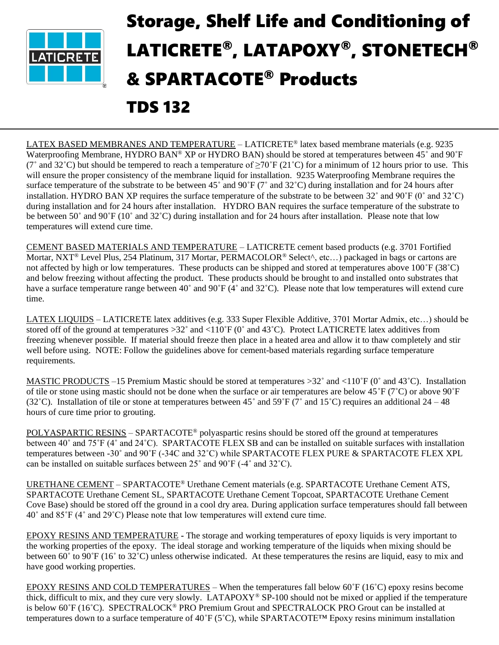

## Storage, Shelf Life and Conditioning of LATICRETE® , LATAPOXY®, STONETECH® & SPARTACOTE® Products

## TDS 132

LATEX BASED MEMBRANES AND TEMPERATURE – LATICRETE® latex based membrane materials (e.g. 9235 Waterproofing Membrane, HYDRO BAN® XP or HYDRO BAN) should be stored at temperatures between 45° and 90°F (7° and 32°C) but should be tempered to reach a temperature of  $\geq$ 70°F (21°C) for a minimum of 12 hours prior to use. This will ensure the proper consistency of the membrane liquid for installation. 9235 Waterproofing Membrane requires the surface temperature of the substrate to be between 45° and 90°F (7° and 32°C) during installation and for 24 hours after installation. HYDRO BAN XP requires the surface temperature of the substrate to be between  $32^\circ$  and  $90^\circ$ F (0° and  $32^\circ$ C) during installation and for 24 hours after installation. HYDRO BAN requires the surface temperature of the substrate to be between 50˚ and 90˚F (10˚ and 32˚C) during installation and for 24 hours after installation. Please note that low temperatures will extend cure time.

CEMENT BASED MATERIALS AND TEMPERATURE – LATICRETE cement based products (e.g. 3701 Fortified Mortar, NXT® Level Plus, 254 Platinum, 317 Mortar, PERMACOLOR® Select^, etc…) packaged in bags or cartons are not affected by high or low temperatures. These products can be shipped and stored at temperatures above 100˚F (38˚C) and below freezing without affecting the product. These products should be brought to and installed onto substrates that have a surface temperature range between 40° and 90°F (4° and 32°C). Please note that low temperatures will extend cure time.

LATEX LIQUIDS – LATICRETE latex additives (e.g. 333 Super Flexible Additive, 3701 Mortar Admix, etc…) should be stored off of the ground at temperatures  $>32^{\circ}$  and  $<110^{\circ}$ F (0° and 43°C). Protect LATICRETE latex additives from freezing whenever possible. If material should freeze then place in a heated area and allow it to thaw completely and stir well before using. NOTE: Follow the guidelines above for cement-based materials regarding surface temperature requirements.

MASTIC PRODUCTS –15 Premium Mastic should be stored at temperatures  $>32^{\circ}$  and  $<110^{\circ}$ F (0° and 43°C). Installation of tile or stone using mastic should not be done when the surface or air temperatures are below  $45^{\circ}F$  (7°C) or above  $90^{\circ}F$ (32°C). Installation of tile or stone at temperatures between  $45^\circ$  and  $59^\circ$  F (7° and  $15^\circ$ C) requires an additional  $24 - 48$ hours of cure time prior to grouting.

POLYASPARTIC RESINS – SPARTACOTE® polyaspartic resins should be stored off the ground at temperatures between 40˚ and 75˚F (4˚ and 24˚C). SPARTACOTE FLEX SB and can be installed on suitable surfaces with installation temperatures between -30˚ and 90˚F (-34C and 32˚C) while SPARTACOTE FLEX PURE & SPARTACOTE FLEX XPL can be installed on suitable surfaces between 25˚ and 90˚F (-4˚ and 32˚C).

URETHANE CEMENT – SPARTACOTE® Urethane Cement materials (e.g. SPARTACOTE Urethane Cement ATS, SPARTACOTE Urethane Cement SL, SPARTACOTE Urethane Cement Topcoat, SPARTACOTE Urethane Cement Cove Base) should be stored off the ground in a cool dry area. During application surface temperatures should fall between 40˚ and 85˚F (4˚ and 29˚C) Please note that low temperatures will extend cure time.

EPOXY RESINS AND TEMPERATURE **-** The storage and working temperatures of epoxy liquids is very important to the working properties of the epoxy. The ideal storage and working temperature of the liquids when mixing should be between 60° to 90°F (16° to 32°C) unless otherwise indicated. At these temperatures the resins are liquid, easy to mix and have good working properties.

EPOXY RESINS AND COLD TEMPERATURES – When the temperatures fall below 60˚F (16˚C) epoxy resins become thick, difficult to mix, and they cure very slowly. LATAPOXY® SP-100 should not be mixed or applied if the temperature is below 60˚F (16˚C). SPECTRALOCK® PRO Premium Grout and SPECTRALOCK PRO Grout can be installed at temperatures down to a surface temperature of 40˚F (5˚C), while SPARTACOTE™ Epoxy resins minimum installation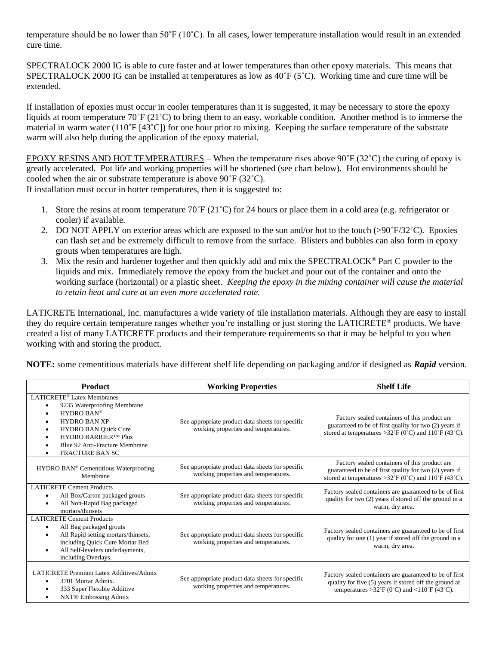temperature should be no lower than 50˚F (10˚C). In all cases, lower temperature installation would result in an extended cure time.

SPECTRALOCK 2000 IG is able to cure faster and at lower temperatures than other epoxy materials. This means that SPECTRALOCK 2000 IG can be installed at temperatures as low as 40˚F (5˚C). Working time and cure time will be extended.

If installation of epoxies must occur in cooler temperatures than it is suggested, it may be necessary to store the epoxy liquids at room temperature 70˚F (21˚C) to bring them to an easy, workable condition. Another method is to immerse the material in warm water  $(110^{\circ}F[43^{\circ}C])$  for one hour prior to mixing. Keeping the surface temperature of the substrate warm will also help during the application of the epoxy material.

EPOXY RESINS AND HOT TEMPERATURES – When the temperature rises above  $90^{\circ}F(32^{\circ}C)$  the curing of epoxy is greatly accelerated. Pot life and working properties will be shortened (see chart below). Hot environments should be cooled when the air or substrate temperature is above 90˚F (32˚C).

If installation must occur in hotter temperatures, then it is suggested to:

- 1. Store the resins at room temperature 70˚F (21˚C) for 24 hours or place them in a cold area (e.g. refrigerator or cooler) if available.
- 2. DO NOT APPLY on exterior areas which are exposed to the sun and/or hot to the touch (>90˚F/32˚C). Epoxies can flash set and be extremely difficult to remove from the surface. Blisters and bubbles can also form in epoxy grouts when temperatures are high.
- 3. Mix the resin and hardener together and then quickly add and mix the SPECTRALOCK® Part C powder to the liquids and mix. Immediately remove the epoxy from the bucket and pour out of the container and onto the working surface (horizontal) or a plastic sheet. *Keeping the epoxy in the mixing container will cause the material to retain heat and cure at an even more accelerated rate.*

LATICRETE International, Inc. manufactures a wide variety of tile installation materials. Although they are easy to install they do require certain temperature ranges whether you're installing or just storing the LATICRETE® products. We have created a list of many LATICRETE products and their temperature requirements so that it may be helpful to you when working with and storing the product.

**NOTE:** some cementitious materials have different shelf life depending on packaging and/or if designed as *Rapid* version.

| <b>Product</b>                                                                                                                                                                                                                                                                                                    | <b>Working Properties</b>                                                                | <b>Shelf Life</b>                                                                                                                                                 |
|-------------------------------------------------------------------------------------------------------------------------------------------------------------------------------------------------------------------------------------------------------------------------------------------------------------------|------------------------------------------------------------------------------------------|-------------------------------------------------------------------------------------------------------------------------------------------------------------------|
| LATICRETE <sup>®</sup> Latex Membranes<br>9235 Waterproofing Membrane<br>$\bullet$<br>HYDRO BAN®<br>$\bullet$<br><b>HYDRO BAN XP</b><br>$\bullet$<br><b>HYDRO BAN Quick Cure</b><br>$\bullet$<br><b>HYDRO BARRIER™ Plus</b><br>$\bullet$<br>Blue 92 Anti-Fracture Membrane<br><b>FRACTURE BAN SC</b><br>$\bullet$ | See appropriate product data sheets for specific<br>working properties and temperatures. | Factory sealed containers of this product are<br>guaranteed to be of first quality for two (2) years if<br>stored at temperatures > 32°F (0°C) and 110°F (43°C).  |
| HYDRO BAN <sup>®</sup> Cementitious Waterproofing<br>Membrane                                                                                                                                                                                                                                                     | See appropriate product data sheets for specific<br>working properties and temperatures. | Factory sealed containers of this product are<br>guaranteed to be of first quality for two (2) years if<br>stored at temperatures > 32°F (0°C) and 110°F (43°C).  |
| <b>LATICRETE Cement Products</b><br>All Box/Carton packaged grouts<br>٠<br>All Non-Rapid Bag packaged<br>$\bullet$<br>mortars/thinsets                                                                                                                                                                            | See appropriate product data sheets for specific<br>working properties and temperatures. | Factory sealed containers are guaranteed to be of first<br>quality for two (2) years if stored off the ground in a<br>warm, dry area.                             |
| <b>LATICRETE Cement Products</b><br>All Bag packaged grouts<br>٠<br>All Rapid setting mortars/thinsets,<br>$\bullet$<br>including Quick Cure Mortar Bed<br>All Self-levelers underlayments,<br>$\bullet$<br>including Overlays.                                                                                   | See appropriate product data sheets for specific<br>working properties and temperatures. | Factory sealed containers are guaranteed to be of first<br>quality for one (1) year if stored off the ground in a<br>warm, dry area.                              |
| LATICRETE Premium Latex Additives/Admix<br>3701 Mortar Admix.<br>$\bullet$<br>333 Super Flexible Additive<br>$\bullet$<br><b>NXT®</b> Embossing Admix<br>$\bullet$                                                                                                                                                | See appropriate product data sheets for specific<br>working properties and temperatures. | Factory sealed containers are guaranteed to be of first<br>quality for five (5) years if stored off the ground at<br>temperatures > 32°F (0°C) and <110°F (43°C). |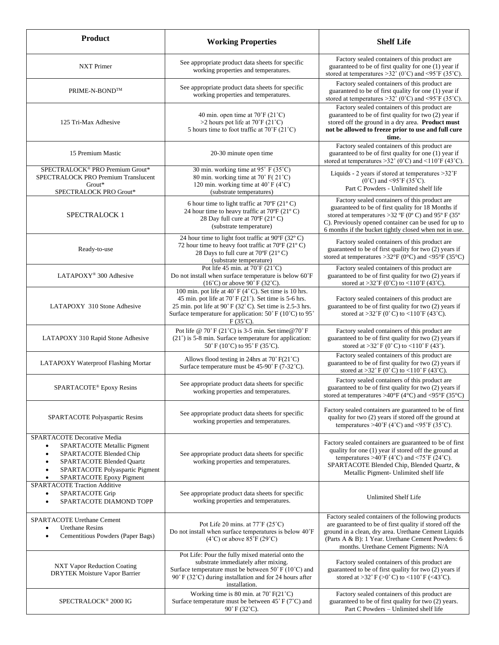| <b>Product</b>                                                                                                                                                                                                        | <b>Working Properties</b>                                                                                                                                                                                                                                            | <b>Shelf Life</b>                                                                                                                                                                                                                                                                                                                  |
|-----------------------------------------------------------------------------------------------------------------------------------------------------------------------------------------------------------------------|----------------------------------------------------------------------------------------------------------------------------------------------------------------------------------------------------------------------------------------------------------------------|------------------------------------------------------------------------------------------------------------------------------------------------------------------------------------------------------------------------------------------------------------------------------------------------------------------------------------|
| NXT Primer                                                                                                                                                                                                            | See appropriate product data sheets for specific<br>working properties and temperatures.                                                                                                                                                                             | Factory sealed containers of this product are<br>guaranteed to be of first quality for one (1) year if<br>stored at temperatures > 32 $^{\circ}$ (0 $^{\circ}$ C) and < 95 $^{\circ}$ F (35 $^{\circ}$ C).                                                                                                                         |
| PRIME-N-BOND™                                                                                                                                                                                                         | See appropriate product data sheets for specific<br>working properties and temperatures.                                                                                                                                                                             | Factory sealed containers of this product are<br>guaranteed to be of first quality for one (1) year if<br>stored at temperatures > 32° (0°C) and <95°F (35°C).                                                                                                                                                                     |
| 125 Tri-Max Adhesive                                                                                                                                                                                                  | 40 min. open time at $70^{\circ}$ F (21 $^{\circ}$ C)<br>>2 hours pot life at $70^{\circ}$ F (21 <sup>°</sup> C)<br>5 hours time to foot traffic at 70°F (21°C)                                                                                                      | Factory sealed containers of this product are<br>guaranteed to be of first quality for two (2) year if<br>stored off the ground in a dry area. Product must<br>not be allowed to freeze prior to use and full cure<br>time.                                                                                                        |
| 15 Premium Mastic                                                                                                                                                                                                     | 20-30 minute open time                                                                                                                                                                                                                                               | Factory sealed containers of this product are<br>guaranteed to be of first quality for one (1) year if<br>stored at temperatures > $32^{\circ}$ (0°C) and <110°F (43°C).                                                                                                                                                           |
| SPECTRALOCK® PRO Premium Grout*<br>SPECTRALOCK PRO Premium Translucent<br>Grout*<br>SPECTRALOCK PRO Grout*                                                                                                            | 30 min. working time at 95° F (35°C)<br>80 min. working time at 70° F(21°C)<br>120 min. working time at 40°F (4°C)<br>(substrate temperatures)                                                                                                                       | Liquids - 2 years if stored at temperatures > 32°F<br>$(0^{\circ}C)$ and <95°F (35°C).<br>Part C Powders - Unlimited shelf life                                                                                                                                                                                                    |
| <b>SPECTRALOCK 1</b>                                                                                                                                                                                                  | 6 hour time to light traffic at 70°F (21°C)<br>24 hour time to heavy traffic at 70°F (21°C)<br>28 Day full cure at 70°F (21°C)<br>(substrate temperature)                                                                                                            | Factory sealed containers of this product are<br>guaranteed to be of first quality for 18 Months if<br>stored at temperatures > 32 <sup>°</sup> F ( $\dot{0}^{\circ}$ C) and 95 <sup>°</sup> F (35 <sup>°</sup><br>C). Previously opened container can be used for up to<br>6 months if the bucket tightly closed when not in use. |
| Ready-to-use                                                                                                                                                                                                          | 24 hour time to light foot traffic at 90°F (32°C)<br>72 hour time to heavy foot traffic at $70^{\circ}$ F (21°C)<br>28 Days to full cure at 70°F (21°C)<br>(substrate temperature)                                                                                   | Factory sealed containers of this product are<br>guaranteed to be of first quality for two (2) years if<br>stored at temperatures >32°F (0°C) and <95°F (35°C)                                                                                                                                                                     |
| LATAPOXY <sup>®</sup> 300 Adhesive                                                                                                                                                                                    | Pot life 45 min. at $70^{\circ}$ F (21 $^{\circ}$ C)<br>Do not install when surface temperature is below 60°F<br>$(16^{\circ}C)$ or above 90° F (32°C).                                                                                                              | Factory sealed containers of this product are<br>guaranteed to be of first quality for two (2) years if<br>stored at >32°F (0°C) to <110°F (43°C).                                                                                                                                                                                 |
| LATAPOXY 310 Stone Adhesive                                                                                                                                                                                           | 100 min. pot life at 40°F (4°C). Set time is 10 hrs.<br>45 min. pot life at $70^{\circ}$ F (21°). Set time is 5-6 hrs.<br>25 min. pot life at 90° F (32°C). Set time is 2.5-3 hrs.<br>Surface temperature for application: 50° F (10°C) to 95°<br>$F(35^{\circ}C)$ . | Factory sealed containers of this product are<br>guaranteed to be of first quality for two (2) years if<br>stored at >32°F (0°C) to <110°F (43°C).                                                                                                                                                                                 |
| LATAPOXY 310 Rapid Stone Adhesive                                                                                                                                                                                     | Pot life @ 70° F (21°C) is 3-5 min. Set time @ 70° F<br>$(21^{\circ})$ is 5-8 min. Surface temperature for application:<br>50°F (10°C) to 95°F (35°C).                                                                                                               | Factory sealed containers of this product are<br>guaranteed to be of first quality for two (2) years if<br>stored at >32°F (0°C) to <110°F (43°).                                                                                                                                                                                  |
| LATAPOXY Waterproof Flashing Mortar                                                                                                                                                                                   | Allows flood testing in 24hrs at $70^{\circ}$ F(21 $^{\circ}$ C)<br>Surface temperature must be $45-90^{\circ}$ F (7-32 $^{\circ}$ C).                                                                                                                               | Factory sealed containers of this product are<br>guaranteed to be of first quality for two (2) years if<br>stored at >32° F (0° C) to <110° F (43°C).                                                                                                                                                                              |
| SPARTACOTE <sup>®</sup> Epoxy Resins                                                                                                                                                                                  | See appropriate product data sheets for specific<br>working properties and temperatures.                                                                                                                                                                             | Factory sealed containers of this product are<br>guaranteed to be of first quality for two (2) years if<br>stored at temperatures >40 $\rm{°F}$ (4 $\rm{°C}$ ) and <95 $\rm{°F}$ (35 $\rm{°C}$ )                                                                                                                                   |
| SPARTACOTE Polyaspartic Resins                                                                                                                                                                                        | See appropriate product data sheets for specific<br>working properties and temperatures.                                                                                                                                                                             | Factory sealed containers are guaranteed to be of first<br>quality for two (2) years if stored off the ground at<br>temperatures >40°F (4°C) and <95°F (35°C).                                                                                                                                                                     |
| SPARTACOTE Decorative Media<br>SPARTACOTE Metallic Pigment<br>$\bullet$<br>SPARTACOTE Blended Chip<br>$\bullet$<br>SPARTACOTE Blended Quartz<br>٠<br>SPARTACOTE Polyaspartic Pigment<br>٠<br>SPARTACOTE Epoxy Pigment | See appropriate product data sheets for specific<br>working properties and temperatures.                                                                                                                                                                             | Factory sealed containers are guaranteed to be of first<br>quality for one (1) year if stored off the ground at<br>temperatures >40°F (4°C) and <75°F (24°C).<br>SPARTACOTE Blended Chip, Blended Quartz, &<br>Metallic Pigment- Unlimited shelf life                                                                              |
| <b>SPARTACOTE Traction Additive</b><br>SPARTACOTE Grip<br>$\bullet$<br>SPARTACOTE DIAMOND TOPP                                                                                                                        | See appropriate product data sheets for specific<br>working properties and temperatures.                                                                                                                                                                             | <b>Unlimited Shelf Life</b>                                                                                                                                                                                                                                                                                                        |
| <b>SPARTACOTE Urethane Cement</b><br><b>Urethane Resins</b><br>Cementitious Powders (Paper Bags)                                                                                                                      | Pot Life 20 mins. at $77^{\circ}$ F (25 $^{\circ}$ C)<br>Do not install when surface temperatures is below 40°F<br>$(4^{\circ}$ C) or above $85^{\circ}$ F $(29^{\circ}$ C)                                                                                          | Factory sealed containers of the following products<br>are guaranteed to be of first quality if stored off the<br>ground in a clean, dry area. Urethane Cement Liquids<br>(Parts A & B): 1 Year. Urethane Cement Powders: 6<br>months. Urethane Cement Pigments: N/A                                                               |
| NXT Vapor Reduction Coating<br><b>DRYTEK Moisture Vapor Barrier</b>                                                                                                                                                   | Pot Life: Pour the fully mixed material onto the<br>substrate immediately after mixing.<br>Surface temperature must be between 50°F (10°C) and<br>90°F (32°C) during installation and for 24 hours after<br>installation.                                            | Factory sealed containers of this product are<br>guaranteed to be of first quality for two (2) years if<br>stored at >32° F (>0° C) to <110° F (<43°C).                                                                                                                                                                            |
| SPECTRALOCK® 2000 IG                                                                                                                                                                                                  | Working time is 80 min. at 70° F(21°C)<br>Surface temperature must be between $45^{\circ}$ F (7 $^{\circ}$ C) and<br>90°F (32°C).                                                                                                                                    | Factory sealed containers of this product are<br>guaranteed to be of first quality for two (2) years.<br>Part C Powders - Unlimited shelf life                                                                                                                                                                                     |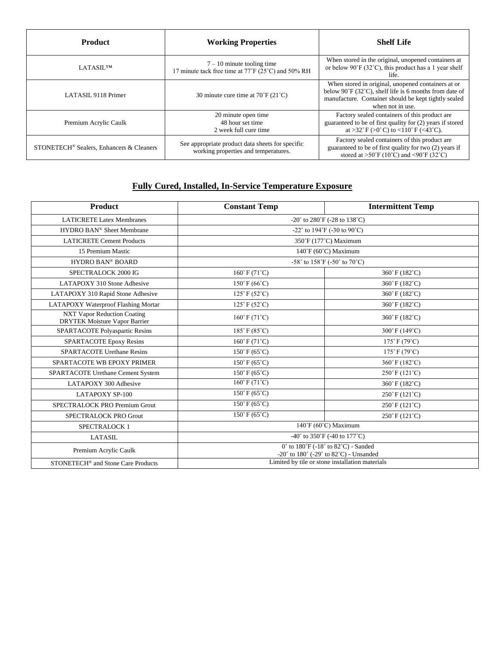| <b>Product</b>                                       | <b>Working Properties</b>                                                                | <b>Shelf Life</b>                                                                                                                                                                                   |
|------------------------------------------------------|------------------------------------------------------------------------------------------|-----------------------------------------------------------------------------------------------------------------------------------------------------------------------------------------------------|
| <b>LATASILTM</b>                                     | $7 - 10$ minute tooling time<br>17 minute tack free time at 77°F (25°C) and 50% RH       | When stored in the original, unopened containers at<br>or below $90^{\circ}$ F (32 $^{\circ}$ C), this product has a 1 year shelf<br>life.                                                          |
| LATASIL 9118 Primer                                  | 30 minute cure time at $70^{\circ}$ F (21 $^{\circ}$ C)                                  | When stored in original, unopened containers at or<br>below 90°F (32°C), shelf life is 6 months from date of<br>manufacture. Container should be kept tightly sealed<br>when not in use.            |
| Premium Acrylic Caulk                                | 20 minute open time<br>48 hour set time<br>2 week full cure time                         | Factory sealed containers of this product are<br>guaranteed to be of first quality for (2) years if stored<br>at >32°F (>0°C) to <110°F (<43°C).                                                    |
| STONETECH <sup>®</sup> Sealers, Enhancers & Cleaners | See appropriate product data sheets for specific<br>working properties and temperatures. | Factory sealed containers of this product are<br>guaranteed to be of first quality for two (2) years if<br>stored at $>50^{\circ}$ F (10 <sup>°</sup> C) and <90 <sup>°</sup> F (32 <sup>°</sup> C) |

## **Fully Cured, Installed, In-Service Temperature Exposure**

| Product                                                                    | <b>Constant Temp</b>                                                                                                       | <b>Intermittent Temp</b>             |
|----------------------------------------------------------------------------|----------------------------------------------------------------------------------------------------------------------------|--------------------------------------|
| <b>LATICRETE Latex Membranes</b>                                           | -20 $^{\circ}$ to 280 $^{\circ}$ F (-28 to 138 $^{\circ}$ C)                                                               |                                      |
| HYDRO BAN® Sheet Membrane                                                  | -22 $^{\circ}$ to 194 $^{\circ}$ F (-30 to 90 $^{\circ}$ C)                                                                |                                      |
| <b>LATICRETE Cement Products</b>                                           | 350°F (177°C) Maximum                                                                                                      |                                      |
| 15 Premium Mastic                                                          | 140°F (60°C) Maximum                                                                                                       |                                      |
| HYDRO BAN® BOARD                                                           | -58° to 158°F (-50° to 70°C)                                                                                               |                                      |
| SPECTRALOCK 2000 IG                                                        | $160°$ F (71°C)                                                                                                            | 360°F (182°C)                        |
| LATAPOXY 310 Stone Adhesive                                                | $150°$ F (66°C)                                                                                                            | 360°F (182°C)                        |
| LATAPOXY 310 Rapid Stone Adhesive                                          | $125^{\circ}$ F (52 $^{\circ}$ C)                                                                                          | 360°F (182°C)                        |
| LATAPOXY Waterproof Flashing Mortar                                        | $125^{\circ}$ F (52 $^{\circ}$ C)                                                                                          | 360°F (182°C)                        |
| <b>NXT Vapor Reduction Coating</b><br><b>DRYTEK Moisture Vapor Barrier</b> | $160°$ F (71°C)                                                                                                            | 360°F (182°C)                        |
| SPARTACOTE Polyaspartic Resins                                             | $185^{\circ}$ F (85 $^{\circ}$ C)                                                                                          | 300°F (149°C)                        |
| <b>SPARTACOTE Epoxy Resins</b>                                             | $160^{\circ}$ F (71 $^{\circ}$ C)                                                                                          | $175°$ F (79°C)                      |
| <b>SPARTACOTE Urethane Resins</b>                                          | $150^{\circ}$ F (65 $^{\circ}$ C)                                                                                          | $175^{\circ}$ F (79 $^{\circ}$ C)    |
| SPARTACOTE WB EPOXY PRIMER                                                 | $150^{\circ}$ F (65 $^{\circ}$ C)                                                                                          | 360°F (182°C)                        |
| SPARTACOTE Urethane Cement System                                          | $150^{\circ}$ F (65 $^{\circ}$ C)                                                                                          | $250^{\circ}$ F (121 <sup>°</sup> C) |
| LATAPOXY 300 Adhesive                                                      | $160°$ F (71°C)                                                                                                            | 360°F (182°C)                        |
| <b>LATAPOXY SP-100</b>                                                     | $150^{\circ}$ F (65 $^{\circ}$ C)                                                                                          | $250^{\circ}$ F (121 $^{\circ}$ C)   |
| SPECTRALOCK PRO Premium Grout                                              | $150^{\circ}$ F (65 $^{\circ}$ C)                                                                                          | $250^{\circ}$ F (121 <sup>°</sup> C) |
| SPECTRALOCK PRO Grout                                                      | $150^{\circ}$ F (65 $^{\circ}$ C)                                                                                          | $250^{\circ}$ F (121 <sup>°</sup> C) |
| SPECTRALOCK 1                                                              | 140°F (60°C) Maximum                                                                                                       |                                      |
| <b>LATASIL</b>                                                             | -40° to $350^{\circ}$ F (-40 to 177 $^{\circ}$ C)                                                                          |                                      |
| Premium Acrylic Caulk                                                      | $0°$ to $180°$ F (-18° to $82°$ C) - Sanded<br>-20 $\degree$ to 180 $\degree$ (-29 $\degree$ to 82 $\degree$ C) - Unsanded |                                      |
| STONETECH® and Stone Care Products                                         | Limited by tile or stone installation materials                                                                            |                                      |